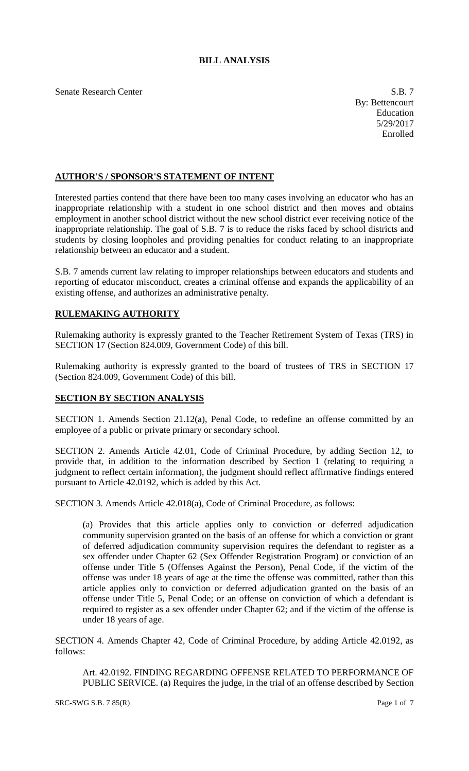## **BILL ANALYSIS**

Senate Research Center S.B. 7

## **AUTHOR'S / SPONSOR'S STATEMENT OF INTENT**

Interested parties contend that there have been too many cases involving an educator who has an inappropriate relationship with a student in one school district and then moves and obtains employment in another school district without the new school district ever receiving notice of the inappropriate relationship. The goal of S.B. 7 is to reduce the risks faced by school districts and students by closing loopholes and providing penalties for conduct relating to an inappropriate relationship between an educator and a student.

S.B. 7 amends current law relating to improper relationships between educators and students and reporting of educator misconduct, creates a criminal offense and expands the applicability of an existing offense, and authorizes an administrative penalty.

## **RULEMAKING AUTHORITY**

Rulemaking authority is expressly granted to the Teacher Retirement System of Texas (TRS) in SECTION 17 (Section 824.009, Government Code) of this bill.

Rulemaking authority is expressly granted to the board of trustees of TRS in SECTION 17 (Section 824.009, Government Code) of this bill.

## **SECTION BY SECTION ANALYSIS**

SECTION 1. Amends Section 21.12(a), Penal Code, to redefine an offense committed by an employee of a public or private primary or secondary school.

SECTION 2. Amends Article 42.01, Code of Criminal Procedure, by adding Section 12, to provide that, in addition to the information described by Section 1 (relating to requiring a judgment to reflect certain information), the judgment should reflect affirmative findings entered pursuant to Article 42.0192, which is added by this Act.

SECTION 3. Amends Article 42.018(a), Code of Criminal Procedure, as follows:

(a) Provides that this article applies only to conviction or deferred adjudication community supervision granted on the basis of an offense for which a conviction or grant of deferred adjudication community supervision requires the defendant to register as a sex offender under Chapter 62 (Sex Offender Registration Program) or conviction of an offense under Title 5 (Offenses Against the Person), Penal Code, if the victim of the offense was under 18 years of age at the time the offense was committed, rather than this article applies only to conviction or deferred adjudication granted on the basis of an offense under Title 5, Penal Code; or an offense on conviction of which a defendant is required to register as a sex offender under Chapter 62; and if the victim of the offense is under 18 years of age.

SECTION 4. Amends Chapter 42, Code of Criminal Procedure, by adding Article 42.0192, as follows:

Art. 42.0192. FINDING REGARDING OFFENSE RELATED TO PERFORMANCE OF PUBLIC SERVICE. (a) Requires the judge, in the trial of an offense described by Section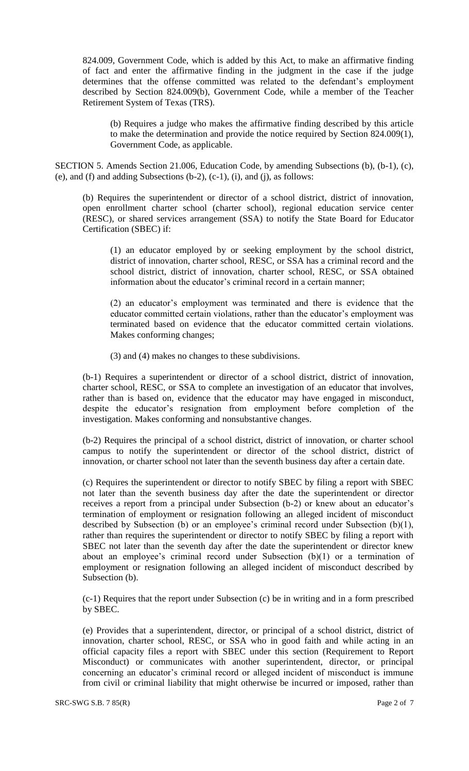824.009, Government Code, which is added by this Act, to make an affirmative finding of fact and enter the affirmative finding in the judgment in the case if the judge determines that the offense committed was related to the defendant's employment described by Section 824.009(b), Government Code, while a member of the Teacher Retirement System of Texas (TRS).

(b) Requires a judge who makes the affirmative finding described by this article to make the determination and provide the notice required by Section 824.009(1), Government Code, as applicable.

SECTION 5. Amends Section 21.006, Education Code, by amending Subsections (b), (b-1), (c), (e), and (f) and adding Subsections  $(b-2)$ ,  $(c-1)$ ,  $(i)$ , and  $(i)$ , as follows:

(b) Requires the superintendent or director of a school district, district of innovation, open enrollment charter school (charter school), regional education service center (RESC), or shared services arrangement (SSA) to notify the State Board for Educator Certification (SBEC) if:

(1) an educator employed by or seeking employment by the school district, district of innovation, charter school, RESC, or SSA has a criminal record and the school district, district of innovation, charter school, RESC, or SSA obtained information about the educator's criminal record in a certain manner;

(2) an educator's employment was terminated and there is evidence that the educator committed certain violations, rather than the educator's employment was terminated based on evidence that the educator committed certain violations. Makes conforming changes;

(3) and (4) makes no changes to these subdivisions.

(b-1) Requires a superintendent or director of a school district, district of innovation, charter school, RESC, or SSA to complete an investigation of an educator that involves, rather than is based on, evidence that the educator may have engaged in misconduct, despite the educator's resignation from employment before completion of the investigation. Makes conforming and nonsubstantive changes.

(b-2) Requires the principal of a school district, district of innovation, or charter school campus to notify the superintendent or director of the school district, district of innovation, or charter school not later than the seventh business day after a certain date.

(c) Requires the superintendent or director to notify SBEC by filing a report with SBEC not later than the seventh business day after the date the superintendent or director receives a report from a principal under Subsection (b-2) or knew about an educator's termination of employment or resignation following an alleged incident of misconduct described by Subsection (b) or an employee's criminal record under Subsection (b)(1), rather than requires the superintendent or director to notify SBEC by filing a report with SBEC not later than the seventh day after the date the superintendent or director knew about an employee's criminal record under Subsection (b)(1) or a termination of employment or resignation following an alleged incident of misconduct described by Subsection (b).

(c-1) Requires that the report under Subsection (c) be in writing and in a form prescribed by SBEC.

(e) Provides that a superintendent, director, or principal of a school district, district of innovation, charter school, RESC, or SSA who in good faith and while acting in an official capacity files a report with SBEC under this section (Requirement to Report Misconduct) or communicates with another superintendent, director, or principal concerning an educator's criminal record or alleged incident of misconduct is immune from civil or criminal liability that might otherwise be incurred or imposed, rather than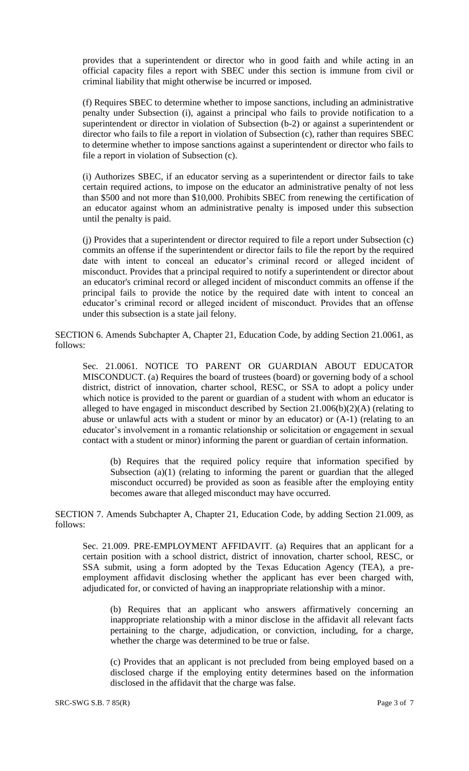provides that a superintendent or director who in good faith and while acting in an official capacity files a report with SBEC under this section is immune from civil or criminal liability that might otherwise be incurred or imposed.

(f) Requires SBEC to determine whether to impose sanctions, including an administrative penalty under Subsection (i), against a principal who fails to provide notification to a superintendent or director in violation of Subsection (b-2) or against a superintendent or director who fails to file a report in violation of Subsection (c), rather than requires SBEC to determine whether to impose sanctions against a superintendent or director who fails to file a report in violation of Subsection (c).

(i) Authorizes SBEC, if an educator serving as a superintendent or director fails to take certain required actions, to impose on the educator an administrative penalty of not less than \$500 and not more than \$10,000. Prohibits SBEC from renewing the certification of an educator against whom an administrative penalty is imposed under this subsection until the penalty is paid.

(j) Provides that a superintendent or director required to file a report under Subsection (c) commits an offense if the superintendent or director fails to file the report by the required date with intent to conceal an educator's criminal record or alleged incident of misconduct. Provides that a principal required to notify a superintendent or director about an educator's criminal record or alleged incident of misconduct commits an offense if the principal fails to provide the notice by the required date with intent to conceal an educator's criminal record or alleged incident of misconduct. Provides that an offense under this subsection is a state jail felony.

SECTION 6. Amends Subchapter A, Chapter 21, Education Code, by adding Section 21.0061, as follows:

Sec. 21.0061. NOTICE TO PARENT OR GUARDIAN ABOUT EDUCATOR MISCONDUCT. (a) Requires the board of trustees (board) or governing body of a school district, district of innovation, charter school, RESC, or SSA to adopt a policy under which notice is provided to the parent or guardian of a student with whom an educator is alleged to have engaged in misconduct described by Section 21.006(b)(2)(A) (relating to abuse or unlawful acts with a student or minor by an educator) or (A-1) (relating to an educator's involvement in a romantic relationship or solicitation or engagement in sexual contact with a student or minor) informing the parent or guardian of certain information.

(b) Requires that the required policy require that information specified by Subsection (a)(1) (relating to informing the parent or guardian that the alleged misconduct occurred) be provided as soon as feasible after the employing entity becomes aware that alleged misconduct may have occurred.

SECTION 7. Amends Subchapter A, Chapter 21, Education Code, by adding Section 21.009, as follows:

Sec. 21.009. PRE-EMPLOYMENT AFFIDAVIT. (a) Requires that an applicant for a certain position with a school district, district of innovation, charter school, RESC, or SSA submit, using a form adopted by the Texas Education Agency (TEA), a preemployment affidavit disclosing whether the applicant has ever been charged with, adjudicated for, or convicted of having an inappropriate relationship with a minor.

(b) Requires that an applicant who answers affirmatively concerning an inappropriate relationship with a minor disclose in the affidavit all relevant facts pertaining to the charge, adjudication, or conviction, including, for a charge, whether the charge was determined to be true or false.

(c) Provides that an applicant is not precluded from being employed based on a disclosed charge if the employing entity determines based on the information disclosed in the affidavit that the charge was false.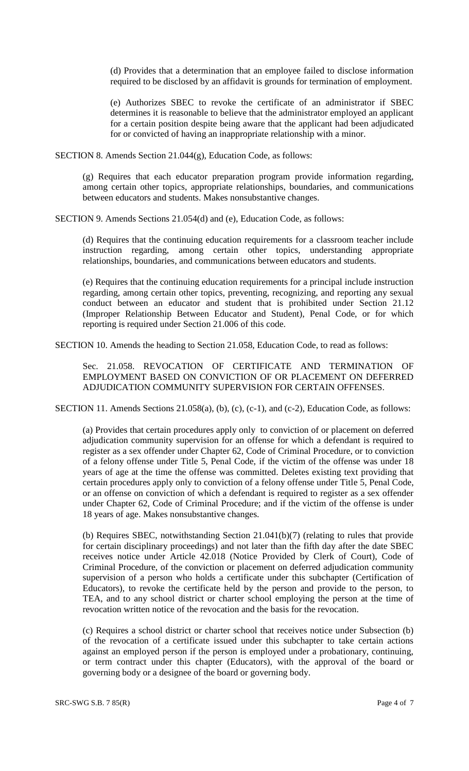(d) Provides that a determination that an employee failed to disclose information required to be disclosed by an affidavit is grounds for termination of employment.

(e) Authorizes SBEC to revoke the certificate of an administrator if SBEC determines it is reasonable to believe that the administrator employed an applicant for a certain position despite being aware that the applicant had been adjudicated for or convicted of having an inappropriate relationship with a minor.

SECTION 8. Amends Section 21.044(g), Education Code, as follows:

(g) Requires that each educator preparation program provide information regarding, among certain other topics, appropriate relationships, boundaries, and communications between educators and students. Makes nonsubstantive changes.

SECTION 9. Amends Sections 21.054(d) and (e), Education Code, as follows:

(d) Requires that the continuing education requirements for a classroom teacher include instruction regarding, among certain other topics, understanding appropriate relationships, boundaries, and communications between educators and students.

(e) Requires that the continuing education requirements for a principal include instruction regarding, among certain other topics, preventing, recognizing, and reporting any sexual conduct between an educator and student that is prohibited under Section 21.12 (Improper Relationship Between Educator and Student), Penal Code, or for which reporting is required under Section 21.006 of this code.

SECTION 10. Amends the heading to Section 21.058, Education Code, to read as follows:

Sec. 21.058. REVOCATION OF CERTIFICATE AND TERMINATION OF EMPLOYMENT BASED ON CONVICTION OF OR PLACEMENT ON DEFERRED ADJUDICATION COMMUNITY SUPERVISION FOR CERTAIN OFFENSES.

SECTION 11. Amends Sections 21.058(a), (b), (c), (c-1), and (c-2), Education Code, as follows:

(a) Provides that certain procedures apply only to conviction of or placement on deferred adjudication community supervision for an offense for which a defendant is required to register as a sex offender under Chapter 62, Code of Criminal Procedure, or to conviction of a felony offense under Title 5, Penal Code, if the victim of the offense was under 18 years of age at the time the offense was committed. Deletes existing text providing that certain procedures apply only to conviction of a felony offense under Title 5, Penal Code, or an offense on conviction of which a defendant is required to register as a sex offender under Chapter 62, Code of Criminal Procedure; and if the victim of the offense is under 18 years of age. Makes nonsubstantive changes.

(b) Requires SBEC, notwithstanding Section 21.041(b)(7) (relating to rules that provide for certain disciplinary proceedings) and not later than the fifth day after the date SBEC receives notice under Article 42.018 (Notice Provided by Clerk of Court), Code of Criminal Procedure, of the conviction or placement on deferred adjudication community supervision of a person who holds a certificate under this subchapter (Certification of Educators), to revoke the certificate held by the person and provide to the person, to TEA, and to any school district or charter school employing the person at the time of revocation written notice of the revocation and the basis for the revocation.

(c) Requires a school district or charter school that receives notice under Subsection (b) of the revocation of a certificate issued under this subchapter to take certain actions against an employed person if the person is employed under a probationary, continuing, or term contract under this chapter (Educators), with the approval of the board or governing body or a designee of the board or governing body.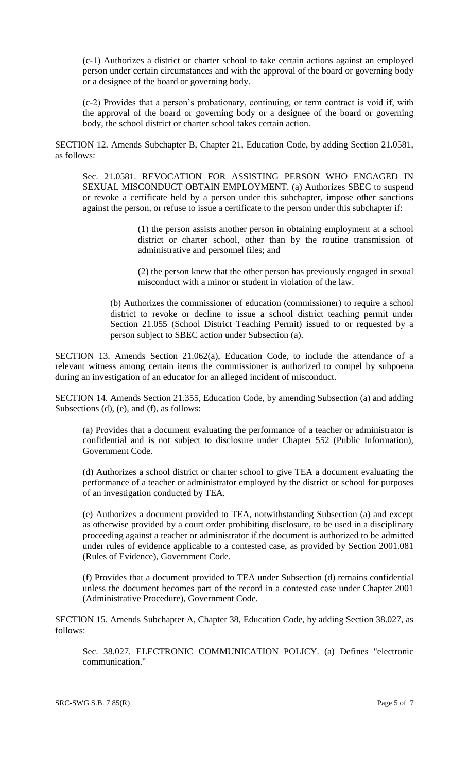(c-1) Authorizes a district or charter school to take certain actions against an employed person under certain circumstances and with the approval of the board or governing body or a designee of the board or governing body.

(c-2) Provides that a person's probationary, continuing, or term contract is void if, with the approval of the board or governing body or a designee of the board or governing body, the school district or charter school takes certain action.

SECTION 12. Amends Subchapter B, Chapter 21, Education Code, by adding Section 21.0581, as follows:

Sec. 21.0581. REVOCATION FOR ASSISTING PERSON WHO ENGAGED IN SEXUAL MISCONDUCT OBTAIN EMPLOYMENT. (a) Authorizes SBEC to suspend or revoke a certificate held by a person under this subchapter, impose other sanctions against the person, or refuse to issue a certificate to the person under this subchapter if:

> (1) the person assists another person in obtaining employment at a school district or charter school, other than by the routine transmission of administrative and personnel files; and

> (2) the person knew that the other person has previously engaged in sexual misconduct with a minor or student in violation of the law.

(b) Authorizes the commissioner of education (commissioner) to require a school district to revoke or decline to issue a school district teaching permit under Section 21.055 (School District Teaching Permit) issued to or requested by a person subject to SBEC action under Subsection (a).

SECTION 13. Amends Section 21.062(a), Education Code, to include the attendance of a relevant witness among certain items the commissioner is authorized to compel by subpoena during an investigation of an educator for an alleged incident of misconduct.

SECTION 14. Amends Section 21.355, Education Code, by amending Subsection (a) and adding Subsections (d), (e), and (f), as follows:

(a) Provides that a document evaluating the performance of a teacher or administrator is confidential and is not subject to disclosure under Chapter 552 (Public Information), Government Code.

(d) Authorizes a school district or charter school to give TEA a document evaluating the performance of a teacher or administrator employed by the district or school for purposes of an investigation conducted by TEA.

(e) Authorizes a document provided to TEA, notwithstanding Subsection (a) and except as otherwise provided by a court order prohibiting disclosure, to be used in a disciplinary proceeding against a teacher or administrator if the document is authorized to be admitted under rules of evidence applicable to a contested case, as provided by Section 2001.081 (Rules of Evidence), Government Code.

(f) Provides that a document provided to TEA under Subsection (d) remains confidential unless the document becomes part of the record in a contested case under Chapter 2001 (Administrative Procedure), Government Code.

SECTION 15. Amends Subchapter A, Chapter 38, Education Code, by adding Section 38.027, as follows:

Sec. 38.027. ELECTRONIC COMMUNICATION POLICY. (a) Defines "electronic communication."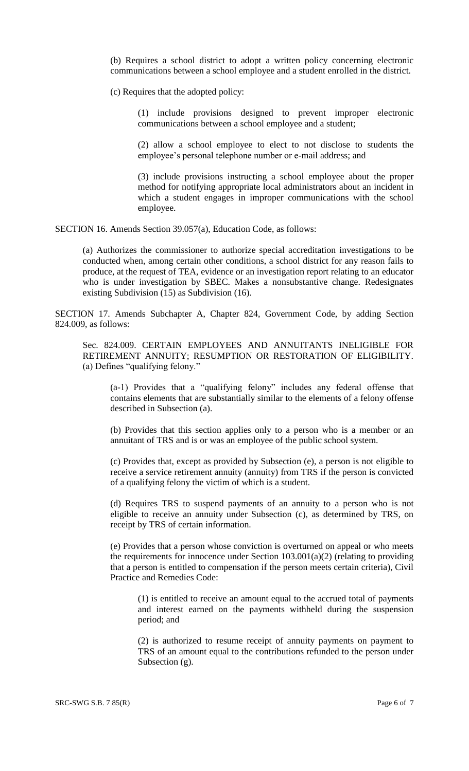(b) Requires a school district to adopt a written policy concerning electronic communications between a school employee and a student enrolled in the district.

(c) Requires that the adopted policy:

(1) include provisions designed to prevent improper electronic communications between a school employee and a student;

(2) allow a school employee to elect to not disclose to students the employee's personal telephone number or e-mail address; and

(3) include provisions instructing a school employee about the proper method for notifying appropriate local administrators about an incident in which a student engages in improper communications with the school employee.

SECTION 16. Amends Section 39.057(a), Education Code, as follows:

(a) Authorizes the commissioner to authorize special accreditation investigations to be conducted when, among certain other conditions, a school district for any reason fails to produce, at the request of TEA, evidence or an investigation report relating to an educator who is under investigation by SBEC. Makes a nonsubstantive change. Redesignates existing Subdivision (15) as Subdivision (16).

SECTION 17. Amends Subchapter A, Chapter 824, Government Code, by adding Section 824.009, as follows:

Sec. 824.009. CERTAIN EMPLOYEES AND ANNUITANTS INELIGIBLE FOR RETIREMENT ANNUITY; RESUMPTION OR RESTORATION OF ELIGIBILITY. (a) Defines "qualifying felony."

(a-1) Provides that a "qualifying felony" includes any federal offense that contains elements that are substantially similar to the elements of a felony offense described in Subsection (a).

(b) Provides that this section applies only to a person who is a member or an annuitant of TRS and is or was an employee of the public school system.

(c) Provides that, except as provided by Subsection (e), a person is not eligible to receive a service retirement annuity (annuity) from TRS if the person is convicted of a qualifying felony the victim of which is a student.

(d) Requires TRS to suspend payments of an annuity to a person who is not eligible to receive an annuity under Subsection (c), as determined by TRS, on receipt by TRS of certain information.

(e) Provides that a person whose conviction is overturned on appeal or who meets the requirements for innocence under Section  $103.001(a)(2)$  (relating to providing that a person is entitled to compensation if the person meets certain criteria), Civil Practice and Remedies Code:

(1) is entitled to receive an amount equal to the accrued total of payments and interest earned on the payments withheld during the suspension period; and

(2) is authorized to resume receipt of annuity payments on payment to TRS of an amount equal to the contributions refunded to the person under Subsection (g).